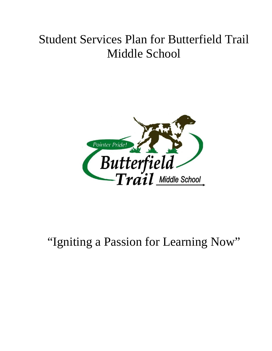# Student Services Plan for Butterfield Trail Middle School



# "Igniting a Passion for Learning Now"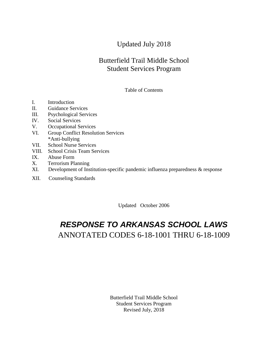# Updated July 2018

# Butterfield Trail Middle School Student Services Program

#### Table of Contents

- I. Introduction
- II. Guidance Services
- III. Psychological Services
- IV. Social Services
- V. Occupational Services
- VI. Group Conflict Resolution Services \*Anti-bullying
- VII. School Nurse Services
- VIII. School Crisis Team Services
- IX. Abuse Form
- X. Terrorism Planning
- XI. Development of Institution-specific pandemic influenza preparedness & response
- XII. Counseling Standards

Updated October 2006

# *RESPONSE TO ARKANSAS SCHOOL LAWS* ANNOTATED CODES 6-18-1001 THRU 6-18-1009

Butterfield Trail Middle School Student Services Program Revised July, 2018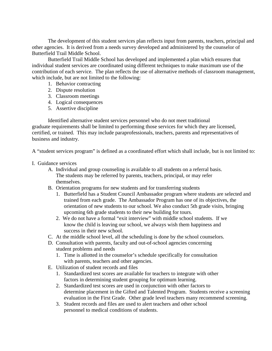The development of this student services plan reflects input from parents, teachers, principal and other agencies. It is derived from a needs survey developed and administered by the counselor of Butterfield Trail Middle School.

Butterfield Trail Middle School has developed and implemented a plan which ensures that individual student services are coordinated using different techniques to make maximum use of the contribution of each service. The plan reflects the use of alternative methods of classroom management, which include, but are not limited to the following:

- 1. Behavior contracting
- 2. Dispute resolution
- 3. Classroom meetings
- 4. Logical consequences
- 5. Assertive discipline

Identified alternative student services personnel who do not meet traditional graduate requirements shall be limited to performing those services for which they are licensed, certified, or trained. This may include paraprofessionals, teachers, parents and representatives of business and industry.

A "student services program" is defined as a coordinated effort which shall include, but is not limited to:

- I. Guidance services
	- A. Individual and group counseling is available to all students on a referral basis. The students may be referred by parents, teachers, principal, or may refer themselves.
	- B. Orientation programs for new students and for transferring students
		- 1. Butterfield has a Student Council Ambassador program where students are selected and trained from each grade. The Ambassador Program has one of its objectives, the orientation of new students to our school. We also conduct 5th grade visits, bringing upcoming 6th grade students to their new building for tours.
		- 2. We do not have a formal "exit interview" with middle school students. If we know the child is leaving our school, we always wish them happiness and success in their new school.
	- C. At the middle school level, all the scheduling is done by the school counselors.
	- D. Consultation with parents, faculty and out-of-school agencies concerning student problems and needs
		- 1. Time is allotted in the counselor's schedule specifically for consultation with parents, teachers and other agencies.
	- E. Utilization of student records and files
		- 1. Standardized test scores are available for teachers to integrate with other factors in determining student grouping for optimum learning.
		- 2. Standardized test scores are used in conjunction with other factors to determine placement in the Gifted and Talented Program. Students receive a screening evaluation in the First Grade. Other grade level teachers many recommend screening.
		- 3. Student records and files are used to alert teachers and other school personnel to medical conditions of students.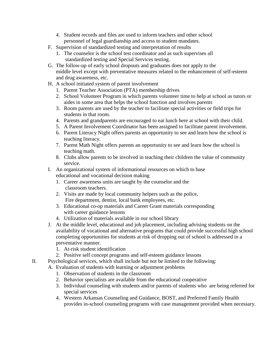- 4. Student records and files are used to inform teachers and other school personnel of legal guardianship and access to student mandates.
- F. Supervision of standardized testing and interpretation of results
	- 1. The counselor is the school test coordinator and as such supervises all standardized testing and Special Services testing.
- G. The follow-up of early school dropouts and graduates does not apply to the middle level except with preventative measures related to the enhancement of self-esteem and drug awareness, etc.
- H. A school initiated system of parent involvement
	- 1. Parent Teacher Association (PTA) membership drives
	- 2. School Volunteer Program in which parents volunteer time to help at school as tutors or aides in some area that helps the school function and involves parents
	- 3. Room parents are used by the teacher to facilitate special activities or field trips for students in that room.
	- 4. Parents and grandparents are encouraged to eat lunch here at school with their child.
	- 5. A Parent Involvement Coordinator has been assigned to facilitate parent involvement.
	- 6. Parent Literacy Night offers parents an opportunity to see and learn how the school is teaching literacy.
	- 7. Parent Math Night offers parents an opportunity to see and learn how the school is teaching math.
	- 8. Clubs allow parents to be involved in teaching their children the value of community service.
- I. An organizational system of informational resources on which to base educational and vocational decision making
	- 1. Career awareness units are taught by the counselor and the classroom teachers.
	- 2. Visits are made by local community helpers such as the police, Fire department, dentist, local bank employees, etc.
	- 3. Educational co-op materials and Career Grant materials corresponding with career guidance lessons
	- 4. Utilization of materials available in our school library
- J. At the middle level, educational and job placement, including advising students on the availability of vocational and alternative programs that could provide successful high school completing opportunities for students at risk of dropping out of school is addressed in a preventative manner.
	- 1. At-risk student identification
- 2. Positive self concept programs and self-esteem guidance lessons
- II. Psychological services, which shall include but not be limited to the following:
	- A. Evaluation of students with learning or adjustment problems
		- 1. Observation of students in the classroom
		- 2. Behavior specialists are available from the educational cooperative
		- 3. Individual counseling with students and/or parents of students who are being referred for special services
		- 4. Western Arkansas Counseling and Guidance, BOST, and Preferred Family Health provides in-school counseling programs with case management provided when necessary.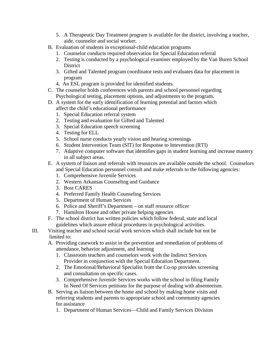- 5. A Therapeutic Day Treatment program is available for the district, involving a teacher, aide, counselor and social worker.
- B. Evaluation of students in exceptional-child education programs
	- 1. Counselor conducts required observation for Special Education referral
	- 2. Testing is conducted by a psychological examiner employed by the Van Buren School **District**
	- 3. Gifted and Talented program coordinator tests and evaluates data for placement in program
	- 4. An ESL program is provided for identified students.
- C. The counselor holds conferences with parents and school personnel regarding Psychological testing, placement options, and adjustments to the program.
- D. A system for the early identification of learning potential and factors which affect the child's educational performance
	- 1. Special Education referral system
	- 2. Testing and evaluation for Gifted and Talented
	- 3. Special Education speech screening
	- 4. Testing for ELL
	- 5. School nurse conducts yearly vision and hearing screenings
	- 6. Student Intervention Team (SIT) for Response to Intevention (RTI)
	- 7. Adaptive computer software that identifies gaps in student learning and increase mastery in all subject areas.
- E. A system of liaison and referrals with resources are available outside the school. Counselors and Special Education personnel consult and make referrals to the following agencies:
	- 1. Comprehensive Juvenile Services
	- 2. Western Arkansas Counseling and Guidance
	- 3. Bost CARES
	- 4. Preferred Family Health Counseling Services
	- 5. Department of Human Services
	- 6. Police and Sheriff's Department on staff resource officer
	- 7. Hamilton House and other private helping agencies
- F. The school district has written policies which follow federal, state and local guidelines which assure ethical procedures in psychological activities.
- III. Visiting teacher and school social work services which shall include but not be limited to:
	- A. Providing casework to assist in the prevention and remediation of problems of attendance, behavior adjustment, and learning
		- 1. Classroom teachers and counselors work with the Indirect Services Provider in conjunction with the Special Education Department.
		- 2. The Emotional/Behavioral Specialist from the Co-op provides screening and consultation on specific cases.
		- 3. Comprehensive Juvenile Services works with the school in filing Family In Need Of Services petitions for the purpose of dealing with absenteeism.
	- B. Serving as liaison between the home and school by making home visits and referring students and parents to appropriate school and community agencies for assistance
		- 1. Department of Human Services—Child and Family Services Division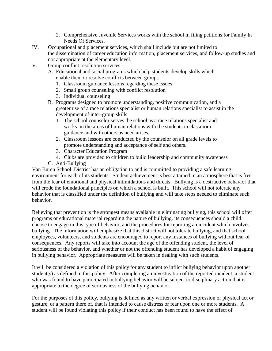- 2. Comprehensive Juvenile Services works with the school in filing petitions for Family In Needs Of Services.
- IV. Occupational and placement services, which shall include but are not limited to the dissemination of career education information, placement services, and follow-up studies and not appropriate at the elementary level.
- V. Group conflict resolution services
	- A. Educational and social programs which help students develop skills which enable them to resolve conflicts between groups
		- 1. Classroom guidance lessons regarding these issues
		- 2. Small group counseling with conflict resolution
		- 3. Individual counseling
	- B. Programs designed to promote understanding, positive communication, and a greater use of a race relations specialist or human relations specialist to assist in the development of inter-group skills
		- 1. The school counselor serves the school as a race relations specialist and works in the areas of human relations with the students in classroom guidance and with others as need arises.
		- 2. Classroom lessons are conducted by the counselor on all grade levels to promote understanding and acceptance of self and others.
		- 3. Character Education Program
		- 4. Clubs are provided to children to build leadership and community awareness
	- C. Anti-Bullying

Van Buren School District has an obligation to and is committed to providing a safe learning environment for each of its students. Student achievement is best attained in an atmosphere that is free from the fear of emotional and physical intimidations and threats. Bullying is a destructive behavior that will erode the foundational principles on which a school is built. This school will not tolerate any behavior that is classified under the definition of bullying and will take steps needed to eliminate such behavior.

Believing that prevention is the strongest means available in eliminating bullying, this school will offer programs or educational material regarding the nature of bullying, its consequences should a child choose to engage in this type of behavior, and the procedures for reporting an incident which involves bullying. The information will emphasize that this district will not tolerate bullying, and that school employees, volunteers, and students are encouraged to report any instances of bullying without fear of consequences. Any reports will take into account the age of the offending student, the level of seriousness of the behavior, and whether or not the offending student has developed a habit of engaging in bullying behavior. Appropriate measures will be taken in dealing with such students.

It will be considered a violation of this policy for any student to inflict bullying behavior upon another student(s) as defined in this policy. After completing an investigation of the reported incident, a student who was found to have participated in bullying behavior will be subject to disciplinary action that is appropriate to the degree of seriousness of the bullying behavior.

For the purposes of this policy, bullying is defined as any written or verbal expression or physical act or gesture, or a pattern there of, that is intended to cause distress or fear upon one or more students. A student will be found violating this policy if their conduct has been found to have the effect of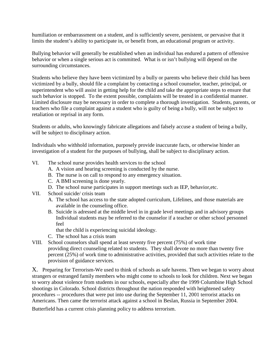humiliation or embarrassment on a student, and is sufficiently severe, persistent, or pervasive that it limits the student's ability to participate in, or benefit from, an educational program or activity.

Bullying behavior will generally be established when an individual has endured a pattern of offensive behavior or when a single serious act is committed. What is or isn't bullying will depend on the surrounding circumstances.

Students who believe they have been victimized by a bully or parents who believe their child has been victimized by a bully, should file a complaint by contacting a school counselor, teacher, principal, or superintendent who will assist in getting help for the child and take the appropriate steps to ensure that such behavior is stopped. To the extent possible, complaints will be treated in a confidential manner. Limited disclosure may be necessary in order to complete a thorough investigation. Students, parents, or teachers who file a complaint against a student who is guilty of being a bully, will not be subject to retaliation or reprisal in any form.

Students or adults, who knowingly fabricate allegations and falsely accuse a student of being a bully, will be subject to disciplinary action.

Individuals who withhold information, purposely provide inaccurate facts, or otherwise hinder an investigation of a student for the purposes of bullying, shall be subject to disciplinary action.

- VI. The school nurse provides health services to the school
	- A. A vision and hearing screening is conducted by the nurse.
	- B. The nurse is on call to respond to any emergency situation.
	- C. A BMI screening is done yearly.
	- D. The school nurse participates in support meetings such as IEP, behavior,etc.
- VII. School suicide/ crisis team
	- A. The school has access to the state adopted curriculum, Lifelines, and those materials are available in the counseling office.
	- B. Suicide is adressed at the middle level in in grade level meetings and in advisory groups Individual students may be referred to the counselor if a teacher or other school personnel feel

that the child is experiencing suicidal ideology.

- C. The school has a crisis team
- VIII. School counselors shall spend at least seventy five percent (75%) of work time providing direct counseling related to students. They shall devote no more than twenty five percent (25%) of work time to administrative activities, provided that such activities relate to the provision of guidance services.

X. Preparing for Terrorism-We used to think of schools as safe havens. Then we began to worry about strangers or estranged family members who might come to schools to look for children. Next we began to worry about violence from students in our schools, especially after the 1999 Columbine High School shootings in Colorado. School districts throughout the nation responded with heightened safety procedures -- procedures that were put into use during the September 11, 2001 terrorist attacks on Americans. Then came the terrorist attack against a school in Beslan, Russia in September 2004.

Butterfield has a current crisis planning policy to address terrorism.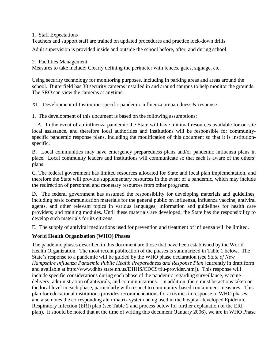#### 1. Staff Expectations

Teachers and support staff are trained on updated procedures and practice lock-down drills Adult supervision is provided inside and outside the school before, after, and during school

#### 2. Facilities Management

Measures to take include: Clearly defining the perimeter with fences, gates, signage, etc.

Using security technology for monitoring purposes, including in parking areas and areas around the school. Butterfield has 30 security cameras installed in and around campus to help monitor the grounds. The SRO can view the cameras at anytime.

XI. Development of Institution-specific pandemic influenza preparedness & response

1. The development of this document is based on the following assumptions:

 A. In the event of an influenza pandemic the State will have minimal resources available for on-site local assistance, and therefore local authorities and institutions will be responsible for communityspecific pandemic response plans, including the modification of this document so that it is institutionspecific.

B. Local communities may have emergency preparedness plans and/or pandemic influenza plans in place. Local community leaders and institutions will communicate so that each is aware of the others' plans.

C. The federal government has limited resources allocated for State and local plan implementation, and therefore the State will provide supplementary resources in the event of a pandemic, which may include the redirection of personnel and monetary resources from other programs.

D. The federal government has assumed the responsibility for developing materials and guidelines, including basic communication materials for the general public on influenza, influenza vaccine, antiviral agents, and other relevant topics in various languages; information and guidelines for health care providers; and training modules. Until these materials are developed, the State has the responsibility to develop such materials for its citizens.

E. The supply of antiviral medications used for prevention and treatment of influenza will be limited.

#### **World Health Organization (WHO) Phases**

The pandemic phases described in this document are those that have been established by the World Health Organization. The most recent publication of the phases is summarized in Table 1 below. The State's response to a pandemic will be guided by the WHO phase declaration (see *State of New Hampshire Influenza Pandemic Public Health Preparedness and Response Plan [currently in draft form* and available at http://www.dhhs.state.nh.us/DHHS/CDCS/flu-provider.htm]). This response will include specific considerations during each phase of the pandemic regarding surveillance, vaccine delivery, administration of antivirals, and communications. In addition, there must be actions taken on the local level in each phase, particularly with respect to community-based containment measures. This plan for educational institutions provides recommendations for activities in response to WHO phases and also notes the corresponding alert matrix system being used in the hospital-developed Epidemic Respiratory Infection (ERI) plan (see Table 2 and process below for further explanation of the ERI plan). It should be noted that at the time of writing this document (January 2006), we are in WHO Phase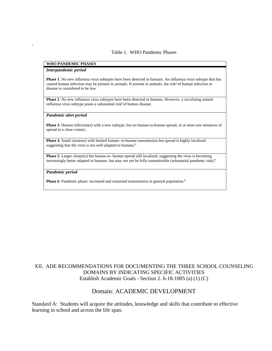#### Table 1. WHO Pandemic Phases

#### **WHO PANDEMIC PHASES**

#### *Interpandemic period*

.

**Phase 1**. No new influenza virus subtypes have been detected in humans. An influenza virus subtype that has caused human infection may be present in animals. If present in animals, the risk<sup>a</sup> of human infection or disease is considered to be low.

**Phase 2**. No new influenza virus subtypes have been detected in humans. However, a circulating animal influenza virus subtype poses a substantial risk<sup>a</sup> of human disease.

#### *Pandemic alert period*

**Phase 3**. Human infection(s) with a new subtype, but no human-to-human spread, or at most rare instances of spread to a close contact.

**Phase 4**. Small cluster(s) with limited human- to-human transmission but spread is highly localized, suggesting that the virus is not well adapted to humans.<sup>b</sup>

Phase 5. Larger cluster(s) but human-to- human spread still localized, suggesting the virus is becoming increasingly better adapted to humans, but may not yet be fully transmissible (substantial pandemic risk).<sup>b</sup>

#### *Pandemic period*

**Phase 6**. Pandemic phase: increased and sustained transmission in general population.<sup>b</sup>

#### XII. ADE RECOMMENDATIONS FOR DOCUMENTING THE THREE SCHOOL COUNSELING DOMAINS BY INDICATING SPECIFIC ACTIVITIES Establish Academic Goals - Section 2. 6-18-1005 (a) (1) (C)

#### Domain: ACADEMIC DEVELOPMENT

Standard A: Students will acquire the attitudes, knowledge and skills that contribute to effective learning in school and across the life span.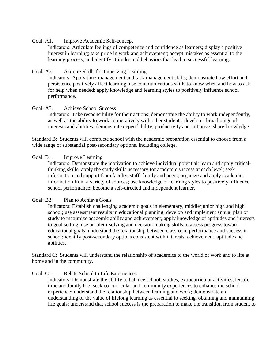Goal: A1. Improve Academic Self-concept

Indicators: Articulate feelings of competence and confidence as learners; display a positive interest in learning; take pride in work and achievement; accept mistakes as essential to the learning process; and identify attitudes and behaviors that lead to successful learning.

#### Goal: A2. Acquire Skills for Improving Learning

Indicators: Apply time-management and task-management skills; demonstrate how effort and persistence positively affect learning; use communications skills to know when and how to ask for help when needed; apply knowledge and learning styles to positively influence school performance.

#### Goal: A3. Achieve School Success

Indicators: Take responsibility for their actions; demonstrate the ability to work independently, as well as the ability to work cooperatively with other students; develop a broad range of interests and abilities; demonstrate dependability, productivity and initiative; share knowledge.

Standard B: Students will complete school with the academic preparation essential to choose from a wide range of substantial post-secondary options, including college.

#### Goal: B1. Improve Learning

Indicators: Demonstrate the motivation to achieve individual potential; learn and apply criticalthinking skills; apply the study skills necessary for academic success at each level; seek information and support from faculty, staff, family and peers; organize and apply academic information from a variety of sources; use knowledge of learning styles to positively influence school performance; become a self-directed and independent learner.

#### Goal: B2. Plan to Achieve Goals

Indicators: Establish challenging academic goals in elementary, middle/junior high and high school; use assessment results in educational planning; develop and implement annual plan of study to maximize academic ability and achievement; apply knowledge of aptitudes and interests to goal setting; use problem-solving and decision-making skills to assess progress toward educational goals; understand the relationship between classroom performance and success in school; identify post-secondary options consistent with interests, achievement, aptitude and abilities.

Standard C: Students will understand the relationship of academics to the world of work and to life at home and in the community.

#### Goal: C1. Relate School to Life Experiences

Indicators: Demonstrate the ability to balance school, studies, extracurricular activities, leisure time and family life; seek co-curricular and community experiences to enhance the school experience; understand the relationship between learning and work; demonstrate an understanding of the value of lifelong learning as essential to seeking, obtaining and maintaining life goals; understand that school success is the preparation to make the transition from student to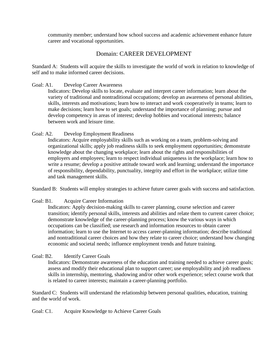community member; understand how school success and academic achievement enhance future career and vocational opportunities.

## Domain: CAREER DEVELOPMENT

Standard A: Students will acquire the skills to investigate the world of work in relation to knowledge of self and to make informed career decisions.

#### Goal: A1. Develop Career Awareness

Indicators: Develop skills to locate, evaluate and interpret career information; learn about the variety of traditional and nontraditional occupations; develop an awareness of personal abilities, skills, interests and motivations; learn how to interact and work cooperatively in teams; learn to make decisions; learn how to set goals; understand the importance of planning; pursue and develop competency in areas of interest; develop hobbies and vocational interests; balance between work and leisure time.

#### Goal: A2. Develop Employment Readiness

Indicators: Acquire employability skills such as working on a team, problem-solving and organizational skills; apply job readiness skills to seek employment opportunities; demonstrate knowledge about the changing workplace; learn about the rights and responsibilities of employers and employees; learn to respect individual uniqueness in the workplace; learn how to write a resume; develop a positive attitude toward work and learning; understand the importance of responsibility, dependability, punctuality, integrity and effort in the workplace; utilize time and task management skills.

Standard B: Students will employ strategies to achieve future career goals with success and satisfaction.

#### Goal: B1. Acquire Career Information

Indicators: Apply decision-making skills to career planning, course selection and career transition; identify personal skills, interests and abilities and relate them to current career choice; demonstrate knowledge of the career-planning process; know the various ways in which occupations can be classified; use research and information resources to obtain career information; learn to use the Internet to access career-planning information; describe traditional and nontraditional career choices and how they relate to career choice; understand how changing economic and societal needs; influence employment trends and future training.

#### Goal: B2. Identify Career Goals

Indicators: Demonstrate awareness of the education and training needed to achieve career goals; assess and modify their educational plan to support career; use employability and job readiness skills in internship, mentoring, shadowing and/or other work experience; select course work that is related to career interests; maintain a career-planning portfolio.

Standard C: Students will understand the relationship between personal qualities, education, training and the world of work.

#### Goal: C1. Acquire Knowledge to Achieve Career Goals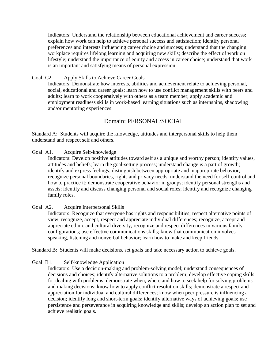Indicators: Understand the relationship between educational achievement and career success; explain how work can help to achieve personal success and satisfaction; identify personal preferences and interests influencing career choice and success; understand that the changing workplace requires lifelong learning and acquiring new skills; describe the effect of work on lifestyle; understand the importance of equity and access in career choice; understand that work is an important and satisfying means of personal expression.

#### Goal: C2. Apply Skills to Achieve Career Goals

Indicators: Demonstrate how interests, abilities and achievement relate to achieving personal, social, educational and career goals; learn how to use conflict management skills with peers and adults; learn to work cooperatively with others as a team member; apply academic and employment readiness skills in work-based learning situations such as internships, shadowing and/or mentoring experiences.

### Domain: PERSONAL/SOCIAL

Standard A: Students will acquire the knowledge, attitudes and interpersonal skills to help them understand and respect self and others.

Goal: A1. Acquire Self-knowledge

Indicators: Develop positive attitudes toward self as a unique and worthy person; identify values, attitudes and beliefs; learn the goal-setting process; understand change is a part of growth; identify and express feelings; distinguish between appropriate and inappropriate behavior; recognize personal boundaries, rights and privacy needs; understand the need for self-control and how to practice it; demonstrate cooperative behavior in groups; identify personal strengths and assets; identify and discuss changing personal and social roles; identify and recognize changing family roles.

#### Goal: A2. Acquire Interpersonal Skills

Indicators: Recognize that everyone has rights and responsibilities; respect alternative points of view; recognize, accept, respect and appreciate individual differences; recognize, accept and appreciate ethnic and cultural diversity; recognize and respect differences in various family configurations; use effective communications skills; know that communication involves speaking, listening and nonverbal behavior; learn how to make and keep friends.

Standard B: Students will make decisions, set goals and take necessary action to achieve goals.

Goal: B1. Self-knowledge Application

Indicators: Use a decision-making and problem-solving model; understand consequences of decisions and choices; identify alternative solutions to a problem; develop effective coping skills for dealing with problems; demonstrate when, where and how to seek help for solving problems and making decisions; know how to apply conflict resolution skills; demonstrate a respect and appreciation for individual and cultural differences; know when peer pressure is influencing a decision; identify long and short-term goals; identify alternative ways of achieving goals; use persistence and perseverance in acquiring knowledge and skills; develop an action plan to set and achieve realistic goals.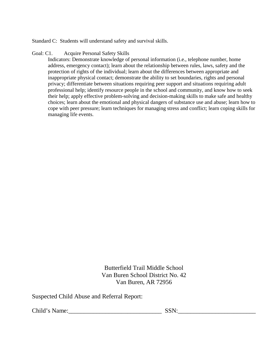Standard C: Students will understand safety and survival skills.

#### Goal: C1. Acquire Personal Safety Skills

Indicators: Demonstrate knowledge of personal information (i.e., telephone number, home address, emergency contact); learn about the relationship between rules, laws, safety and the protection of rights of the individual; learn about the differences between appropriate and inappropriate physical contact; demonstrate the ability to set boundaries, rights and personal privacy; differentiate between situations requiring peer support and situations requiring adult professional help; identify resource people in the school and community, and know how to seek their help; apply effective problem-solving and decision-making skills to make safe and healthy choices; learn about the emotional and physical dangers of substance use and abuse; learn how to cope with peer pressure; learn techniques for managing stress and conflict; learn coping skills for managing life events.

> Butterfield Trail Middle School Van Buren School District No. 42 Van Buren, AR 72956

Suspected Child Abuse and Referral Report:

Child's Name:\_\_\_\_\_\_\_\_\_\_\_\_\_\_\_\_\_\_\_\_\_\_\_\_\_\_\_\_\_\_ SSN:\_\_\_\_\_\_\_\_\_\_\_\_\_\_\_\_\_\_\_\_\_\_\_\_\_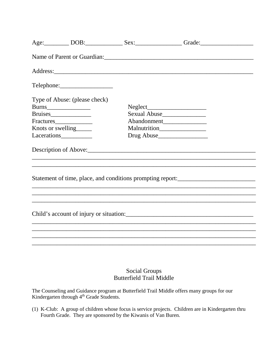|                               | Age: DOB: DOB: Sex: Sex: Grade:                                                                                                                                      |  |
|-------------------------------|----------------------------------------------------------------------------------------------------------------------------------------------------------------------|--|
|                               | Name of Parent or Guardian: 1986 and 1987 and 1988 and 1988 and 1988 and 1988 and 1988 and 1988 and 1988 and 19                                                      |  |
|                               |                                                                                                                                                                      |  |
| Telephone: 2000               |                                                                                                                                                                      |  |
| Type of Abuse: (please check) |                                                                                                                                                                      |  |
|                               |                                                                                                                                                                      |  |
|                               |                                                                                                                                                                      |  |
| Fractures                     |                                                                                                                                                                      |  |
| Knots or swelling______       |                                                                                                                                                                      |  |
| Lacerations___________        |                                                                                                                                                                      |  |
|                               | ,我们也不能在这里,我们也不能在这里的时候,我们也不能会不能会不能会不能会不能会不能会不能会。""我们的人们,我们也不能会不能会不能会不能会不能会不能会不能会不<br>,我们也不能会在这里,我们的人们就会在这里,我们的人们就会在这里,我们的人们就会在这里,我们的人们就会在这里,我们的人们就会在这里,我们的人们就会在这里,我们的 |  |
|                               |                                                                                                                                                                      |  |
|                               |                                                                                                                                                                      |  |
|                               |                                                                                                                                                                      |  |
|                               |                                                                                                                                                                      |  |
|                               |                                                                                                                                                                      |  |
|                               |                                                                                                                                                                      |  |

## Social Groups Butterfield Trail Middle

The Counseling and Guidance program at Butterfield Trail Middle offers many groups for our Kindergarten through 4<sup>th</sup> Grade Students.

(1) K-Club: A group of children whose focus is service projects. Children are in Kindergarten thru Fourth Grade. They are sponsored by the Kiwanis of Van Buren.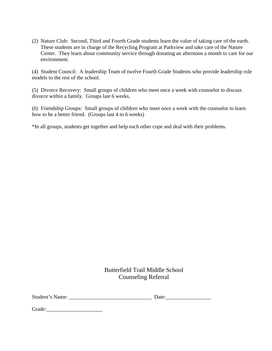(2) Nature Club: Second, Third and Fourth Grade students learn the value of taking care of the earth. These students are in charge of the Recycling Program at Parkview and take care of the Nature Center. They learn about community service through donating an afternoon a month to care for our environment.

(4) Student Council: A leadership Team of twelve Fourth Grade Students who provide leadership role models to the rest of the school.

(5) Divorce Recovery: Small groups of children who meet once a week with counselor to discuss divorce within a family. Groups last 6 weeks.

(6) Friendship Groups: Small groups of children who meet once a week with the counselor to learn how to be a better friend. (Groups last 4 to 6 weeks)

\*In all groups, students get together and help each other cope and deal with their problems.

## Butterfield Trail Middle School Counseling Referral

| Student's Name: | ⊃ate |
|-----------------|------|
|                 |      |

Grade: